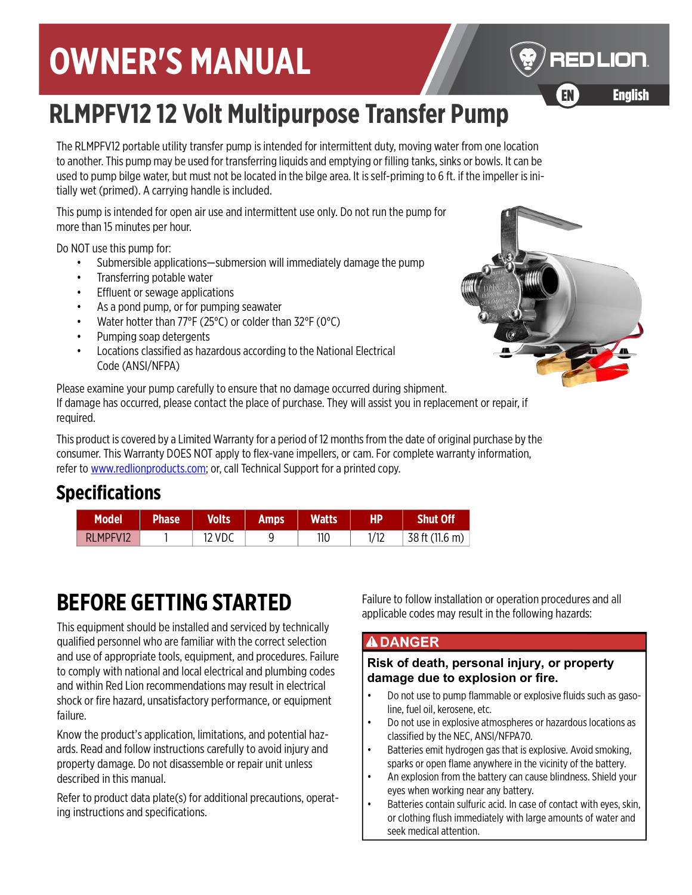# **OWNER'S MANUAL**

# **RLMPFV12 12 Volt Multipurpose Transfer Pump**

The RLMPFV12 portable utility transfer pump is intended for intermittent duty, moving water from one location to another. This pump may be used for transferring liquids and emptying or filling tanks, sinks or bowls. It can be used to pump bilge water, but must not be located in the bilge area. It is self-priming to 6 ft. if the impeller is initially wet (primed). A carrying handle is included.

This pump is intended for open air use and intermittent use only. Do not run the pump for more than 15 minutes per hour.

Do NOT use this pump for:

- Submersible applications—submersion will immediately damage the pump
- Transferring potable water
- Effluent or sewage applications
- As a pond pump, or for pumping seawater
- Water hotter than 77°F (25°C) or colder than 32°F (0°C)
- Pumping soap detergents
- Locations classified as hazardous according to the National Electrical Code (ANSI/NFPA)

Please examine your pump carefully to ensure that no damage occurred during shipment. If damage has occurred, please contact the place of purchase. They will assist you in replacement or repair, if required.

[This product is covered by a Limited Warranty for a period of 12 months from the date of original purchase by the](http://www.redlionproducts.com)  consumer. This Warranty DOES NOT apply to flex-vane impellers, or cam. For complete warranty information, [refer to](http://www.redlionproducts.com) www.redlionproducts.com; or, call Technical Support for a printed copy.

## **Specifications**

| <b>Model</b> | <b>Phase</b> | <b>Volts</b> | Amps | <b>Watts</b> | HP.  | <b>Shut Off</b> |
|--------------|--------------|--------------|------|--------------|------|-----------------|
| RLMPFV12     |              | 12 VDC       |      | 110          | 1/12 | 38 ft (11.6 m)  |

# **BEFORE GETTING STARTED**

This equipment should be installed and serviced by technically qualified personnel who are familiar with the correct selection and use of appropriate tools, equipment, and procedures. Failure to comply with national and local electrical and plumbing codes and within Red Lion recommendations may result in electrical shock or fire hazard, unsatisfactory performance, or equipment failure.

Know the product's application, limitations, and potential hazards. Read and follow instructions carefully to avoid injury and property damage. Do not disassemble or repair unit unless described in this manual.

Refer to product data plate(s) for additional precautions, operating instructions and specifications.

Failure to follow installation or operation procedures and all applicable codes may result in the following hazards:

#### **ADANGER**

#### **Risk of death, personal injury, or property damage due to explosion or fire.**

- Do not use to pump flammable or explosive fluids such as gasoline, fuel oil, kerosene, etc.
- Do not use in explosive atmospheres or hazardous locations as classified by the NEC, ANSI/NFPA70.
- Batteries emit hydrogen gas that is explosive. Avoid smoking, sparks or open flame anywhere in the vicinity of the battery.
- An explosion from the battery can cause blindness. Shield your eyes when working near any battery.
- Batteries contain sulfuric acid. In case of contact with eyes, skin, or clothing flush immediately with large amounts of water and seek medical attention.



REDLION

EN English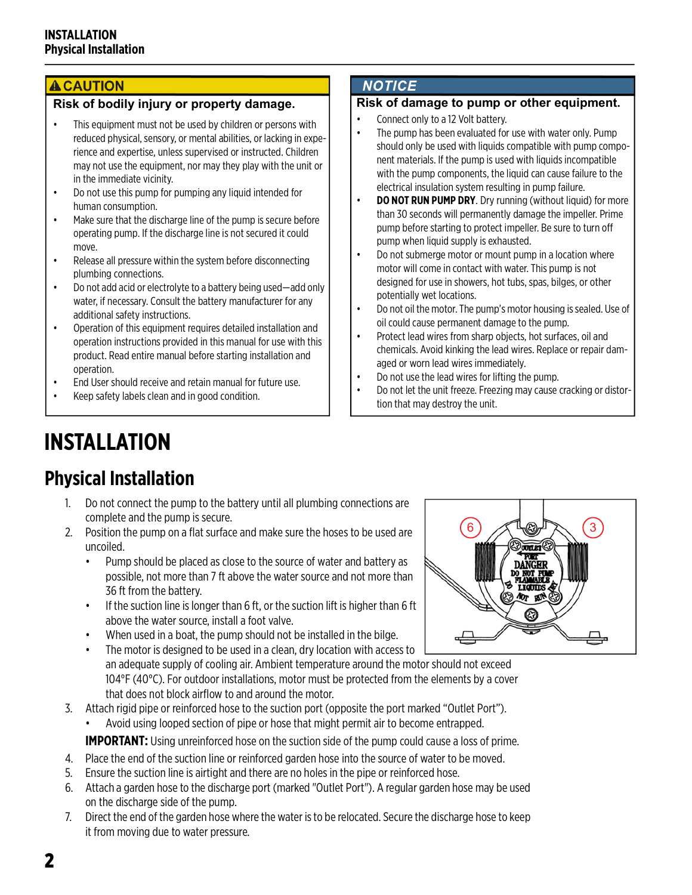#### **ACAUTION**

#### **Risk of bodily injury or property damage.**

- This equipment must not be used by children or persons with reduced physical, sensory, or mental abilities, or lacking in experience and expertise, unless supervised or instructed. Children may not use the equipment, nor may they play with the unit or in the immediate vicinity.
- Do not use this pump for pumping any liquid intended for human consumption.
- Make sure that the discharge line of the pump is secure before operating pump. If the discharge line is not secured it could move.
- Release all pressure within the system before disconnecting plumbing connections.
- Do not add acid or electrolyte to a battery being used—add only water, if necessary. Consult the battery manufacturer for any additional safety instructions.
- Operation of this equipment requires detailed installation and operation instructions provided in this manual for use with this product. Read entire manual before starting installation and operation.
- End User should receive and retain manual for future use.
- Keep safety labels clean and in good condition.

#### **NOTICE**

#### **Risk of damage to pump or other equipment.**

- Connect only to a 12 Volt battery.
- The pump has been evaluated for use with water only. Pump should only be used with liquids compatible with pump component materials. If the pump is used with liquids incompatible with the pump components, the liquid can cause failure to the electrical insulation system resulting in pump failure.
- **DO NOT RUN PUMP DRY**. Dry running (without liquid) for more than 30 seconds will permanently damage the impeller. Prime pump before starting to protect impeller. Be sure to turn off pump when liquid supply is exhausted.
- Do not submerge motor or mount pump in a location where motor will come in contact with water. This pump is not designed for use in showers, hot tubs, spas, bilges, or other potentially wet locations.
- Do not oil the motor. The pump's motor housing is sealed. Use of oil could cause permanent damage to the pump.
- Protect lead wires from sharp objects, hot surfaces, oil and chemicals. Avoid kinking the lead wires. Replace or repair damaged or worn lead wires immediately.
- Do not use the lead wires for lifting the pump.
- Do not let the unit freeze. Freezing may cause cracking or distortion that may destroy the unit.

# **INSTALLATION**

# **Physical Installation**

- 1. Do not connect the pump to the battery until all plumbing connections are complete and the pump is secure.
- 2. Position the pump on a flat surface and make sure the hoses to be used are uncoiled.
	- Pump should be placed as close to the source of water and battery as possible, not more than 7 ft above the water source and not more than 36 ft from the battery.
	- If the suction line is longer than 6 ft, or the suction lift is higher than 6 ft above the water source, install a foot valve.
	- When used in a boat, the pump should not be installed in the bilge.



3. Attach rigid pipe or reinforced hose to the suction port (opposite the port marked "Outlet Port"). • Avoid using looped section of pipe or hose that might permit air to become entrapped.

**IMPORTANT:** Using unreinforced hose on the suction side of the pump could cause a loss of prime.

- 4. Place the end of the suction line or reinforced garden hose into the source of water to be moved.
- 5. Ensure the suction line is airtight and there are no holes in the pipe or reinforced hose.
- 6. Attach a garden hose to the discharge port (marked "Outlet Port"). A regular garden hose may be used on the discharge side of the pump.
- 7. Direct the end of the garden hose where the water is to be relocated. Secure the discharge hose to keep it from moving due to water pressure.

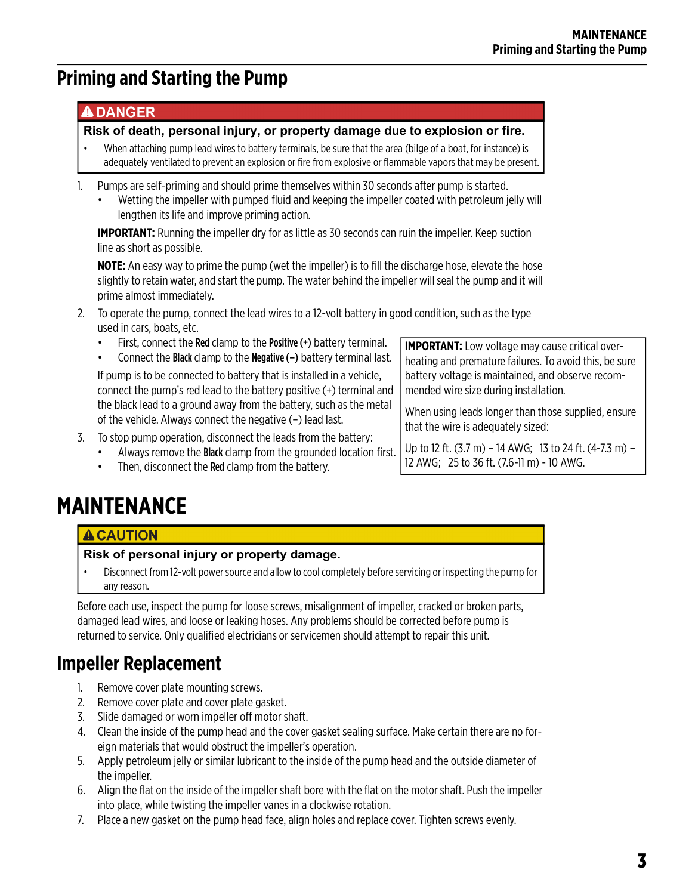# <span id="page-2-0"></span>**Priming and Starting the Pump**

#### **ADANGER**

**Risk of death, personal injury, or property damage due to explosion or fire.**

- When attaching pump lead wires to battery terminals, be sure that the area (bilge of a boat, for instance) is adequately ventilated to prevent an explosion or fire from explosive or flammable vapors that may be present.
- 1. Pumps are self-priming and should prime themselves within 30 seconds after pump is started.
	- Wetting the impeller with pumped fluid and keeping the impeller coated with petroleum jelly will lengthen its life and improve priming action.

**IMPORTANT:** Running the impeller dry for as little as 30 seconds can ruin the impeller. Keep suction line as short as possible.

**NOTE:** An easy way to prime the pump (wet the impeller) is to fill the discharge hose, elevate the hose slightly to retain water, and start the pump. The water behind the impeller will seal the pump and it will prime almost immediately.

- 2. To operate the pump, connect the lead wires to a 12-volt battery in good condition, such as the type used in cars, boats, etc.
	- First, connect the Red clamp to the Positive (+) battery terminal.
	- Connect the Black clamp to the Negative  $(-)$  battery terminal last.

If pump is to be connected to battery that is installed in a vehicle, connect the pump's red lead to the battery positive (+) terminal and the black lead to a ground away from the battery, such as the metal of the vehicle. Always connect the negative (–) lead last.

- 3. To stop pump operation, disconnect the leads from the battery:
	- Always remove the **Black** clamp from the grounded location first.
	- Then, disconnect the **Red** clamp from the battery.

**IMPORTANT:** Low voltage may cause critical overheating and premature failures. To avoid this, be sure battery voltage is maintained, and observe recommended wire size during installation.

When using leads longer than those supplied, ensure that the wire is adequately sized:

Up to 12 ft. (3.7 m) – 14 AWG; 13 to 24 ft. (4-7.3 m) – 12 AWG; 25 to 36 ft. (7.6-11 m) - 10 AWG.

# <span id="page-2-1"></span>**MAINTENANCE**

#### **ACAUTION**

#### **Risk of personal injury or property damage.**

• Disconnect from 12-volt power source and allow to cool completely before servicing or inspecting the pump for any reason.

Before each use, inspect the pump for loose screws, misalignment of impeller, cracked or broken parts, damaged lead wires, and loose or leaking hoses. Any problems should be corrected before pump is returned to service. Only qualified electricians or servicemen should attempt to repair this unit.

## <span id="page-2-2"></span>**Impeller Replacement**

- 1. Remove cover plate mounting screws.
- 2. Remove cover plate and cover plate gasket.
- 3. Slide damaged or worn impeller off motor shaft.
- 4. Clean the inside of the pump head and the cover gasket sealing surface. Make certain there are no foreign materials that would obstruct the impeller's operation.
- 5. Apply petroleum jelly or similar lubricant to the inside of the pump head and the outside diameter of the impeller.
- 6. Align the flat on the inside of the impeller shaft bore with the flat on the motor shaft. Push the impeller into place, while twisting the impeller vanes in a clockwise rotation.
- 7. Place a new gasket on the pump head face, align holes and replace cover. Tighten screws evenly.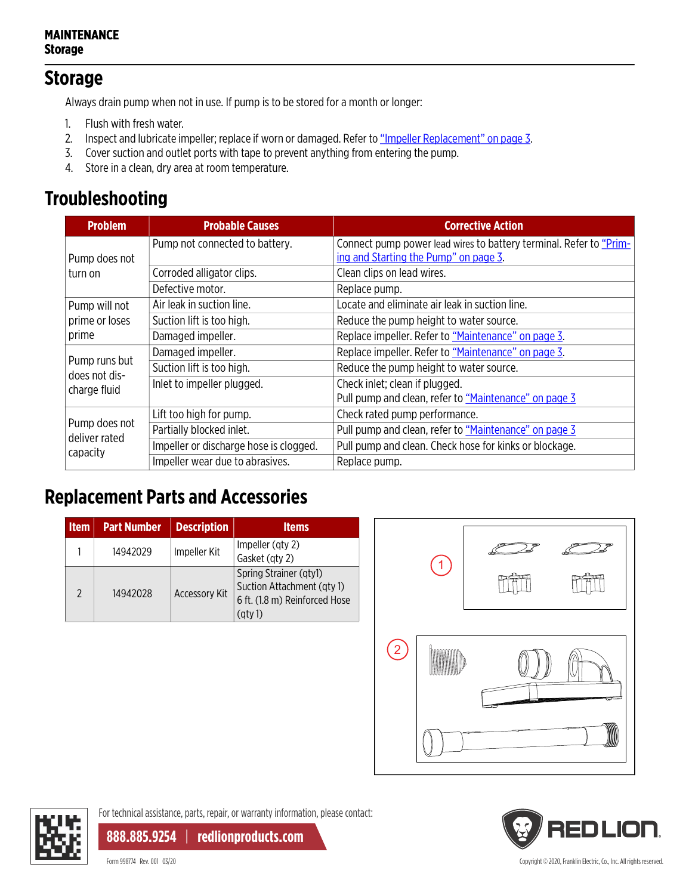#### **MAINTENANCE Storage**

### **Storage**

Always drain pump when not in use. If pump is to be stored for a month or longer:

- 1. Flush with fresh water.
- 2. Inspect and lubricate impeller; replace if worn or damaged. Refer to ["Impeller Replacement" on page 3](#page-2-2).
- 3. Cover suction and outlet ports with tape to prevent anything from entering the pump.
- 4. Store in a clean, dry area at room temperature.

# **Troubleshooting**

| <b>Problem</b>                 | <b>Probable Causes</b>                 | <b>Corrective Action</b>                                                                                    |  |  |
|--------------------------------|----------------------------------------|-------------------------------------------------------------------------------------------------------------|--|--|
| Pump does not                  | Pump not connected to battery.         | Connect pump power lead wires to battery terminal. Refer to "Prim-<br>ing and Starting the Pump" on page 3. |  |  |
| turn on                        | Corroded alligator clips.              | Clean clips on lead wires.                                                                                  |  |  |
|                                | Defective motor.                       | Replace pump.                                                                                               |  |  |
| Pump will not                  | Air leak in suction line.              | Locate and eliminate air leak in suction line.                                                              |  |  |
| prime or loses                 | Suction lift is too high.              | Reduce the pump height to water source.                                                                     |  |  |
| prime                          | Damaged impeller.                      | Replace impeller. Refer to "Maintenance" on page 3.                                                         |  |  |
| Pump runs but<br>does not dis- | Damaged impeller.                      | Replace impeller. Refer to "Maintenance" on page 3.                                                         |  |  |
|                                | Suction lift is too high.              | Reduce the pump height to water source.                                                                     |  |  |
| charge fluid                   | Inlet to impeller plugged.             | Check inlet; clean if plugged.                                                                              |  |  |
|                                |                                        | Pull pump and clean, refer to "Maintenance" on page 3                                                       |  |  |
|                                | Lift too high for pump.                | Check rated pump performance.                                                                               |  |  |
| Pump does not<br>deliver rated | Partially blocked inlet.               | Pull pump and clean, refer to "Maintenance" on page 3                                                       |  |  |
| capacity                       | Impeller or discharge hose is clogged. | Pull pump and clean. Check hose for kinks or blockage.                                                      |  |  |
|                                | Impeller wear due to abrasives.        | Replace pump.                                                                                               |  |  |

## **Replacement Parts and Accessories**

| <b>Item</b>    | <b>Part Number</b> | <b>Description</b>   | <b>Items</b>                                                                                             |
|----------------|--------------------|----------------------|----------------------------------------------------------------------------------------------------------|
|                | 14942029           | Impeller Kit         | Impeller (qty 2)<br>Gasket (qty 2)                                                                       |
| $\mathfrak{D}$ | 14942028           | <b>Accessory Kit</b> | Spring Strainer (qtyl)<br>Suction Attachment (qty 1)<br>6 ft. (1.8 m) Reinforced Hose<br>$\left($ qty 1) |







For technical assistance, parts, repair, or warranty information, please contact:

**888.885.9254** | **redlionproducts.com**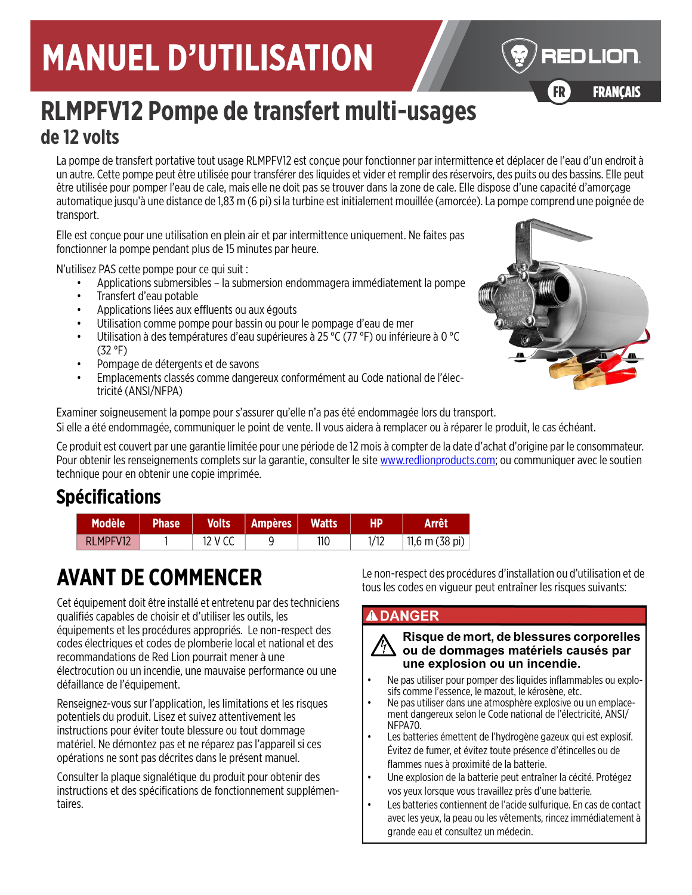# **MANUEL D'UTILISATION**



FR FRANÇAIS

# **RLMPFV12 Pompe de transfert multi-usages de 12 volts**

La pompe de transfert portative tout usage RLMPFV12 est conçue pour fonctionner par intermittence et déplacer de l'eau d'un endroit à un autre. Cette pompe peut être utilisée pour transférer des liquides et vider et remplir des réservoirs, des puits ou des bassins. Elle peut être utilisée pour pomper l'eau de cale, mais elle ne doit pas se trouver dans la zone de cale. Elle dispose d'une capacité d'amorçage automatique jusqu'à une distance de 1,83 m (6 pi) si la turbine est initialement mouillée (amorcée). La pompe comprend une poignée de transport.

Elle est conçue pour une utilisation en plein air et par intermittence uniquement. Ne faites pas fonctionner la pompe pendant plus de 15 minutes par heure.

N'utilisez PAS cette pompe pour ce qui suit :

- Applications submersibles la submersion endommagera immédiatement la pompe
- Transfert d'eau potable
- Applications liées aux effluents ou aux égouts
- Utilisation comme pompe pour bassin ou pour le pompage d'eau de mer
- Utilisation à des températures d'eau supérieures à 25 °C (77 °F) ou inférieure à 0 °C (32 °F)
- Pompage de détergents et de savons
- Emplacements classés comme dangereux conformément au Code national de l'électricité (ANSI/NFPA)



Examiner soigneusement la pompe pour s'assurer qu'elle n'a pas été endommagée lors du transport. Si elle a été endommagée, communiquer le point de vente. Il vous aidera à remplacer ou à réparer le produit, le cas échéant.

[Ce produit est couvert par une garantie limitée pour une période de 12 mois à compter de la date d'achat d'origine par le consommateur.](http://www.redlionproducts.com)  [Pour obtenir les renseignements complets sur la garantie, consulter le site w](http://www.redlionproducts.com)ww.redlionproducts.com; ou communiquer avec le soutien technique pour en obtenir une copie imprimée.

# **Spécifications**

| <b>Modèle</b> | <b>Phase</b> | <b>Volts</b> | <b>Ampères</b> | <b>Watts</b> | HP | Arrêt          |
|---------------|--------------|--------------|----------------|--------------|----|----------------|
| RLMPFV12      |              | 12 V CC      |                | 110          |    | 11,6 m (38 pi) |

# **AVANT DE COMMENCER**

Cet équipement doit être installé et entretenu par des techniciens qualifiés capables de choisir et d'utiliser les outils, les équipements et les procédures appropriés. Le non-respect des codes électriques et codes de plomberie local et national et des recommandations de Red Lion pourrait mener à une électrocution ou un incendie, une mauvaise performance ou une défaillance de l'équipement.

Renseignez-vous sur l'application, les limitations et les risques potentiels du produit. Lisez et suivez attentivement les instructions pour éviter toute blessure ou tout dommage matériel. Ne démontez pas et ne réparez pas l'appareil si ces opérations ne sont pas décrites dans le présent manuel.

Consulter la plaque signalétique du produit pour obtenir des instructions et des spécifications de fonctionnement supplémentaires.

Le non-respect des procédures d'installation ou d'utilisation et de tous les codes en vigueur peut entraîner les risques suivants:

#### **ADANGER**

#### **Risque de mort, de blessures corporelles ou de dommages matériels causés par une explosion ou un incendie.**

- Ne pas utiliser pour pomper des liquides inflammables ou explosifs comme l'essence, le mazout, le kérosène, etc.
- Ne pas utiliser dans une atmosphère explosive ou un emplacement dangereux selon le Code national de l'électricité, ANSI/ NFPA70.
- Les batteries émettent de l'hydrogène gazeux qui est explosif. Évitez de fumer, et évitez toute présence d'étincelles ou de flammes nues à proximité de la batterie.
- Une explosion de la batterie peut entraîner la cécité. Protégez vos yeux lorsque vous travaillez près d'une batterie.
- Les batteries contiennent de l'acide sulfurique. En cas de contact avec les yeux, la peau ou les vêtements, rincez immédiatement à grande eau et consultez un médecin.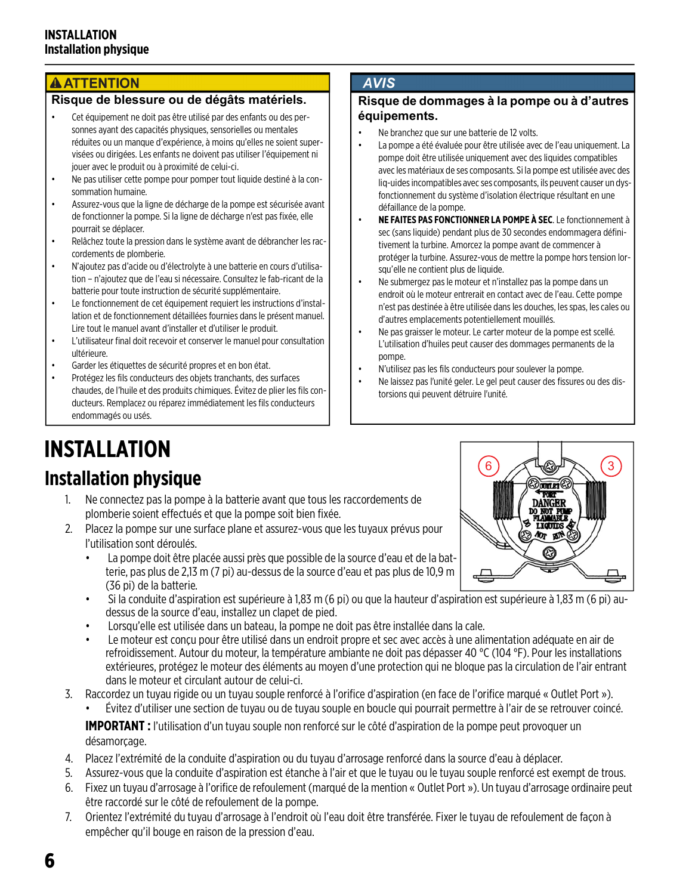#### **A ATTENTION**

#### **Risque de blessure ou de dégâts matériels.**

- Cet équipement ne doit pas être utilisé par des enfants ou des personnes ayant des capacités physiques, sensorielles ou mentales réduites ou un manque d'expérience, à moins qu'elles ne soient supervisées ou dirigées. Les enfants ne doivent pas utiliser l'équipement ni jouer avec le produit ou à proximité de celui-ci.
- Ne pas utiliser cette pompe pour pomper tout liquide destiné à la consommation humaine.
- Assurez-vous que la ligne de décharge de la pompe est sécurisée avant de fonctionner la pompe. Si la ligne de décharge n'est pas fixée, elle pourrait se déplacer.
- Relâchez toute la pression dans le système avant de débrancher les raccordements de plomberie.
- N'ajoutez pas d'acide ou d'électrolyte à une batterie en cours d'utilisation – n'ajoutez que de l'eau si nécessaire. Consultez le fab-ricant de la batterie pour toute instruction de sécurité supplémentaire.
- Le fonctionnement de cet équipement requiert les instructions d'installation et de fonctionnement détaillées fournies dans le présent manuel. Lire tout le manuel avant d'installer et d'utiliser le produit.
- L'utilisateur final doit recevoir et conserver le manuel pour consultation ultérieure.
- Garder les étiquettes de sécurité propres et en bon état.
- Protégez les fils conducteurs des objets tranchants, des surfaces chaudes, de l'huile et des produits chimiques. Évitez de plier les fils conducteurs. Remplacez ou réparez immédiatement les fils conducteurs endommagés ou usés.

#### **AVIS**

#### **Risque de dommages à la pompe ou à d'autres équipements.**

- Ne branchez que sur une batterie de 12 volts.
- La pompe a été évaluée pour être utilisée avec de l'eau uniquement. La pompe doit être utilisée uniquement avec des liquides compatibles avec les matériaux de ses composants. Si la pompe est utilisée avec des liq-uides incompatibles avec ses composants, ils peuvent causer un dysfonctionnement du système d'isolation électrique résultant en une défaillance de la pompe.
- **NE FAITES PAS FONCTIONNER LA POMPE À SEC**. Le fonctionnement à sec (sans liquide) pendant plus de 30 secondes endommagera définitivement la turbine. Amorcez la pompe avant de commencer à protéger la turbine. Assurez-vous de mettre la pompe hors tension lorsqu'elle ne contient plus de liquide.
- Ne submergez pas le moteur et n'installez pas la pompe dans un endroit où le moteur entrerait en contact avec de l'eau. Cette pompe n'est pas destinée à être utilisée dans les douches, les spas, les cales ou d'autres emplacements potentiellement mouillés.
- Ne pas graisser le moteur. Le carter moteur de la pompe est scellé. L'utilisation d'huiles peut causer des dommages permanents de la pompe.
- N'utilisez pas les fils conducteurs pour soulever la pompe.
- Ne laissez pas l'unité geler. Le gel peut causer des fissures ou des distorsions qui peuvent détruire l'unité.

# **INSTALLATION**

### **Installation physique**

- 1. Ne connectez pas la pompe à la batterie avant que tous les raccordements de plomberie soient effectués et que la pompe soit bien fixée.
- 2. Placez la pompe sur une surface plane et assurez-vous que les tuyaux prévus pour l'utilisation sont déroulés.
	- La pompe doit être placée aussi près que possible de la source d'eau et de la batterie, pas plus de 2,13 m (7 pi) au-dessus de la source d'eau et pas plus de 10,9 m (36 pi) de la batterie.
	- Si la conduite d'aspiration est supérieure à 1,83 m (6 pi) ou que la hauteur d'aspiration est supérieure à 1,83 m (6 pi) audessus de la source d'eau, installez un clapet de pied.
	- Lorsqu'elle est utilisée dans un bateau, la pompe ne doit pas être installée dans la cale.
	- Le moteur est conçu pour être utilisé dans un endroit propre et sec avec accès à une alimentation adéquate en air de refroidissement. Autour du moteur, la température ambiante ne doit pas dépasser 40 °C (104 °F). Pour les installations extérieures, protégez le moteur des éléments au moyen d'une protection qui ne bloque pas la circulation de l'air entrant dans le moteur et circulant autour de celui-ci.
- 3. Raccordez un tuyau rigide ou un tuyau souple renforcé à l'orifice d'aspiration (en face de l'orifice marqué « Outlet Port »). • Évitez d'utiliser une section de tuyau ou de tuyau souple en boucle qui pourrait permettre à l'air de se retrouver coincé.

**IMPORTANT :** l'utilisation d'un tuyau souple non renforcé sur le côté d'aspiration de la pompe peut provoquer un désamorçage.

- 4. Placez l'extrémité de la conduite d'aspiration ou du tuyau d'arrosage renforcé dans la source d'eau à déplacer.
- 5. Assurez-vous que la conduite d'aspiration est étanche à l'air et que le tuyau ou le tuyau souple renforcé est exempt de trous.
- 6. Fixez un tuyau d'arrosage à l'orifice de refoulement (marqué de la mention « Outlet Port »). Un tuyau d'arrosage ordinaire peut être raccordé sur le côté de refoulement de la pompe.
- 7. Orientez l'extrémité du tuyau d'arrosage à l'endroit où l'eau doit être transférée. Fixer le tuyau de refoulement de façon à empêcher qu'il bouge en raison de la pression d'eau.

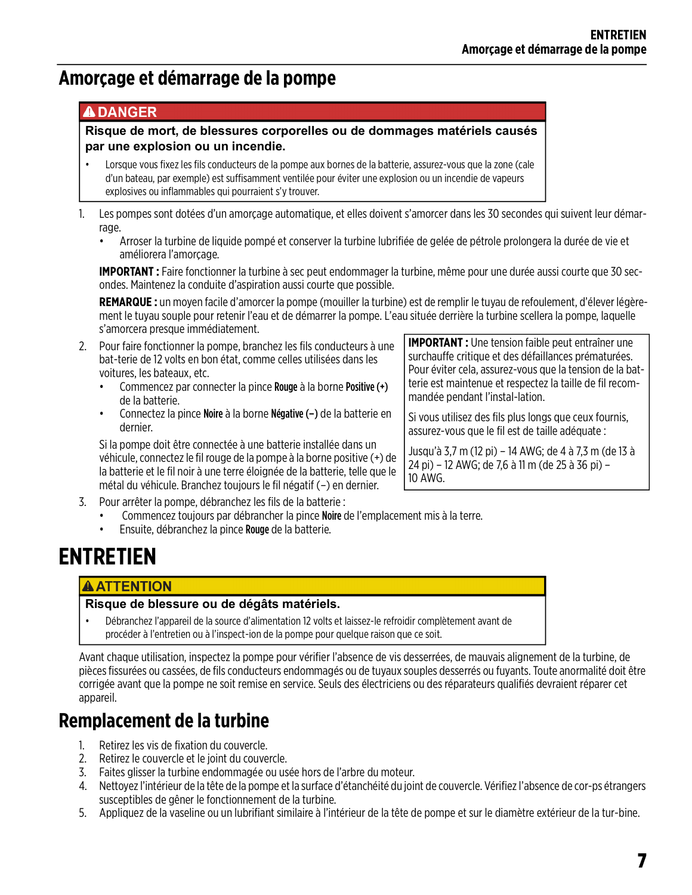### **Amorçage et démarrage de la pompe**

#### **ADANGER**

#### **Risque de mort, de blessures corporelles ou de dommages matériels causés par une explosion ou un incendie.**

- Lorsque vous fixez les fils conducteurs de la pompe aux bornes de la batterie, assurez-vous que la zone (cale d'un bateau, par exemple) est suffisamment ventilée pour éviter une explosion ou un incendie de vapeurs explosives ou inflammables qui pourraient s'y trouver.
- 1. Les pompes sont dotées d'un amorçage automatique, et elles doivent s'amorcer dans les 30 secondes qui suivent leur démarrage.
	- Arroser la turbine de liquide pompé et conserver la turbine lubrifiée de gelée de pétrole prolongera la durée de vie et améliorera l'amorçage.

**IMPORTANT :** Faire fonctionner la turbine à sec peut endommager la turbine, même pour une durée aussi courte que 30 secondes. Maintenez la conduite d'aspiration aussi courte que possible.

**REMARQUE :** un moyen facile d'amorcer la pompe (mouiller la turbine) est de remplir le tuyau de refoulement, d'élever légèrement le tuyau souple pour retenir l'eau et de démarrer la pompe. L'eau située derrière la turbine scellera la pompe, laquelle s'amorcera presque immédiatement.

- 2. Pour faire fonctionner la pompe, branchez les fils conducteurs à une bat-terie de 12 volts en bon état, comme celles utilisées dans les voitures, les bateaux, etc.
	- Commencez par connecter la pince Rouge à la borne Positive (+) de la batterie.
	- Connectez la pince Noire à la borne Négative (–) de la batterie en dernier.

Si la pompe doit être connectée à une batterie installée dans un véhicule, connectez le fil rouge de la pompe à la borne positive (+) de la batterie et le fil noir à une terre éloignée de la batterie, telle que le métal du véhicule. Branchez toujours le fil négatif (–) en dernier.

**IMPORTANT :** Une tension faible peut entraîner une surchauffe critique et des défaillances prématurées. Pour éviter cela, assurez-vous que la tension de la batterie est maintenue et respectez la taille de fil recommandée pendant l'instal-lation.

Si vous utilisez des fils plus longs que ceux fournis, assurez-vous que le fil est de taille adéquate :

Jusqu'à 3,7 m (12 pi) – 14 AWG; de 4 à 7,3 m (de 13 à 24 pi) – 12 AWG; de 7,6 à 11 m (de 25 à 36 pi) – 10 AWG.

- 3. Pour arrêter la pompe, débranchez les fils de la batterie :
	- Commencez toujours par débrancher la pince Noire de l'emplacement mis à la terre.
		- Ensuite, débranchez la pince Rouge de la batterie.

# **ENTRETIEN**

#### **AATTENTION**

#### **Risque de blessure ou de dégâts matériels.**

• Débranchez l'appareil de la source d'alimentation 12 volts et laissez-le refroidir complètement avant de procéder à l'entretien ou à l'inspect-ion de la pompe pour quelque raison que ce soit.

Avant chaque utilisation, inspectez la pompe pour vérifier l'absence de vis desserrées, de mauvais alignement de la turbine, de pièces fissurées ou cassées, de fils conducteurs endommagés ou de tuyaux souples desserrés ou fuyants. Toute anormalité doit être corrigée avant que la pompe ne soit remise en service. Seuls des électriciens ou des réparateurs qualifiés devraient réparer cet appareil.

### **Remplacement de la turbine**

- 1. Retirez les vis de fixation du couvercle.
- 2. Retirez le couvercle et le joint du couvercle.
- 3. Faites glisser la turbine endommagée ou usée hors de l'arbre du moteur.
- 4. Nettoyez l'intérieur de la tête de la pompe et la surface d'étanchéité du joint de couvercle. Vérifiez l'absence de cor-ps étrangers susceptibles de gêner le fonctionnement de la turbine.
- 5. Appliquez de la vaseline ou un lubrifiant similaire à l'intérieur de la tête de pompe et sur le diamètre extérieur de la tur-bine.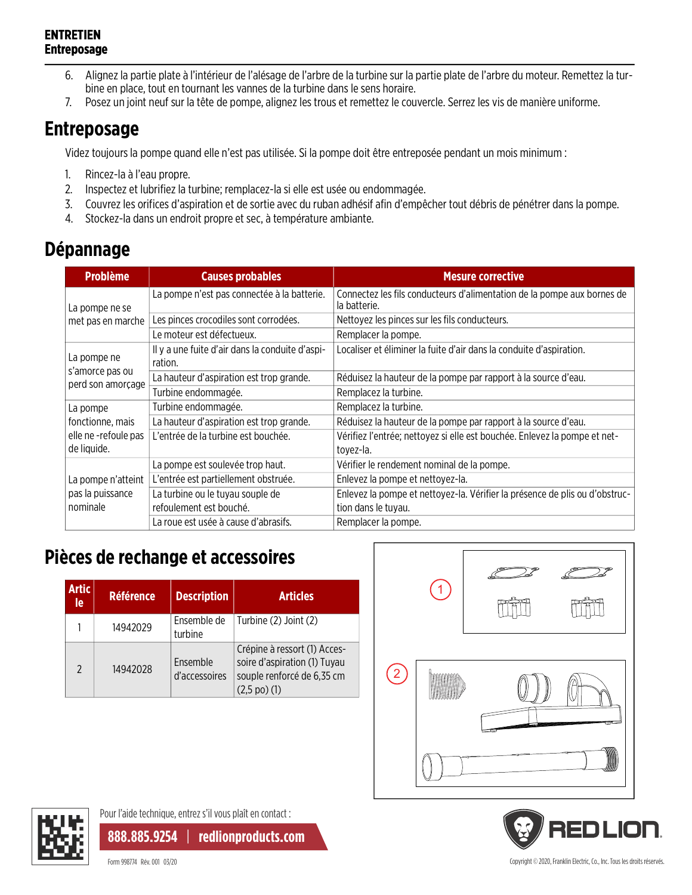#### **ENTRETIEN Entreposage**

- 6. Alignez la partie plate à l'intérieur de l'alésage de l'arbre de la turbine sur la partie plate de l'arbre du moteur. Remettez la turbine en place, tout en tournant les vannes de la turbine dans le sens horaire.
- 7. Posez un joint neuf sur la tête de pompe, alignez les trous et remettez le couvercle. Serrez les vis de manière uniforme.

# **Entreposage**

Videz toujours la pompe quand elle n'est pas utilisée. Si la pompe doit être entreposée pendant un mois minimum :

- 1. Rincez-la à l'eau propre.
- 2. Inspectez et lubrifiez la turbine; remplacez-la si elle est usée ou endommagée.
- 3. Couvrez les orifices d'aspiration et de sortie avec du ruban adhésif afin d'empêcher tout débris de pénétrer dans la pompe.
- 4. Stockez-la dans un endroit propre et sec, à température ambiante.

### **Dépannage**

| <b>Problème</b>                      | <b>Causes probables</b>                                    | <b>Mesure corrective</b>                                                                |
|--------------------------------------|------------------------------------------------------------|-----------------------------------------------------------------------------------------|
| La pompe ne se                       | La pompe n'est pas connectée à la batterie.                | Connectez les fils conducteurs d'alimentation de la pompe aux bornes de<br>la batterie. |
| met pas en marche                    | Les pinces crocodiles sont corrodées.                      | Nettoyez les pinces sur les fils conducteurs.                                           |
|                                      | Le moteur est défectueux.                                  | Remplacer la pompe.                                                                     |
| La pompe ne                          | Il y a une fuite d'air dans la conduite d'aspi-<br>ration. | Localiser et éliminer la fuite d'air dans la conduite d'aspiration.                     |
| s'amorce pas ou<br>perd son amorçage | La hauteur d'aspiration est trop grande.                   | Réduisez la hauteur de la pompe par rapport à la source d'eau.                          |
|                                      | Turbine endommagée.                                        | Remplacez la turbine.                                                                   |
| La pompe                             | Turbine endommagée.                                        | Remplacez la turbine.                                                                   |
| fonctionne, mais                     | La hauteur d'aspiration est trop grande.                   | Réduisez la hauteur de la pompe par rapport à la source d'eau.                          |
| elle ne -refoule pas                 | L'entrée de la turbine est bouchée.                        | Vérifiez l'entrée; nettoyez si elle est bouchée. Enlevez la pompe et net-               |
| de liquide.                          |                                                            | toyez-la.                                                                               |
|                                      | La pompe est soulevée trop haut.                           | Vérifier le rendement nominal de la pompe.                                              |
| La pompe n'atteint                   | L'entrée est partiellement obstruée.                       | Enlevez la pompe et nettoyez-la.                                                        |
| pas la puissance                     | La turbine ou le tuyau souple de                           | Enlevez la pompe et nettoyez-la. Vérifier la présence de plis ou d'obstruc-             |
| nominale                             | refoulement est bouché.                                    | tion dans le tuyau.                                                                     |
|                                      | La roue est usée à cause d'abrasifs.                       | Remplacer la pompe.                                                                     |

# **Pièces de rechange et accessoires**

| <b>Artic</b><br>le | <b>Référence</b> | <b>Description</b>        | <b>Articles</b>                                                                                                        |
|--------------------|------------------|---------------------------|------------------------------------------------------------------------------------------------------------------------|
|                    | 14942029         | Ensemble de<br>turbine    | Turbine (2) Joint (2)                                                                                                  |
| $\mathfrak{p}$     | 14942028         | Ensemble<br>d'accessoires | Crépine à ressort (1) Acces-<br>soire d'aspiration (1) Tuyau<br>souple renforcé de 6,35 cm<br>$(2,5 \text{ po})$ $(1)$ |







Pour l'aide technique, entrez s'il vous plaît en contact :

**888.885.9254** | **redlionproducts.com**

Form 998774 Rév. 001 03/20 Copyright © 2020, Franklin Electric, Co., Inc. Tous les droits réservés.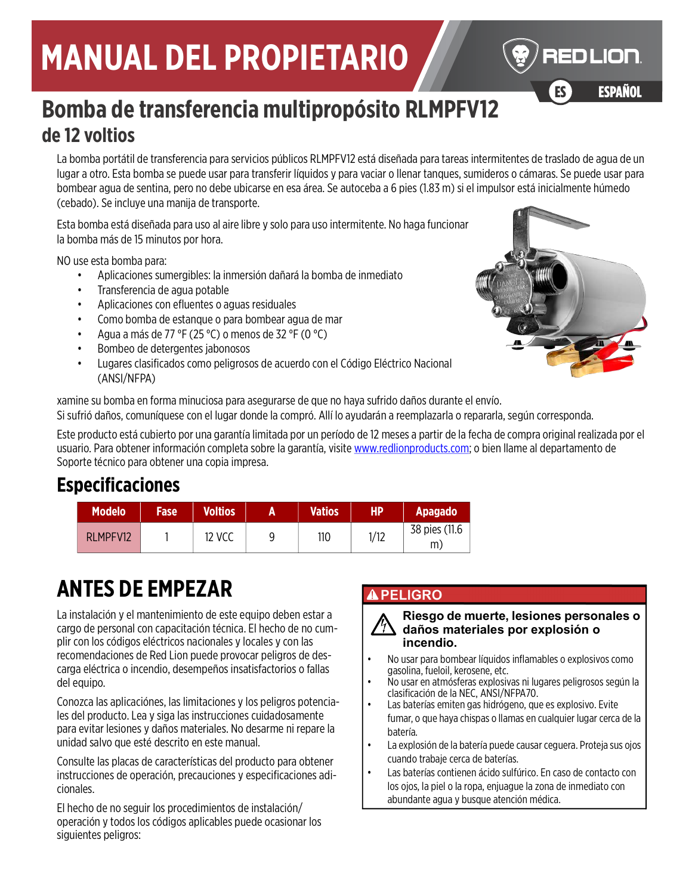# **MANUAL DEL PROPIETARIO**



ESPAÑOL ES ESPAÑOL

# **Bomba de transferencia multipropósito RLMPFV12 de 12 voltios**

La bomba portátil de transferencia para servicios públicos RLMPFV12 está diseñada para tareas intermitentes de traslado de agua de un lugar a otro. Esta bomba se puede usar para transferir líquidos y para vaciar o llenar tanques, sumideros o cámaras. Se puede usar para bombear agua de sentina, pero no debe ubicarse en esa área. Se autoceba a 6 pies (1.83 m) si el impulsor está inicialmente húmedo (cebado). Se incluye una manija de transporte.

Esta bomba está diseñada para uso al aire libre y solo para uso intermitente. No haga funcionar la bomba más de 15 minutos por hora.

NO use esta bomba para:

- Aplicaciones sumergibles: la inmersión dañará la bomba de inmediato
- Transferencia de agua potable
- Aplicaciones con efluentes o aguas residuales
- Como bomba de estanque o para bombear agua de mar
- Agua a más de 77 °F (25 °C) o menos de 32 °F (0 °C)
- Bombeo de detergentes jabonosos
- Lugares clasificados como peligrosos de acuerdo con el Código Eléctrico Nacional (ANSI/NFPA)



xamine su bomba en forma minuciosa para asegurarse de que no haya sufrido daños durante el envío. Si sufrió daños, comuníquese con el lugar donde la compró. Allí lo ayudarán a reemplazarla o repararla, según corresponda.

[Este producto está cubierto por una garantía limitada por un período de 12 meses a partir de la fecha de compra original realizada por el](http://www.redlionproducts.com)  [usuario. Para obtener información completa sobre la garantía, visite](http://www.redlionproducts.com) www.redlionproducts.com; o bien llame al departamento de Soporte técnico para obtener una copia impresa.

# **Especificaciones**

| <b>Modelo</b> | <b>Fase</b> | <b>Voltios</b> | <b>Vatios</b> | <b>HP</b> | <b>Apagado</b>      |
|---------------|-------------|----------------|---------------|-----------|---------------------|
| RLMPFV12      |             | <b>12 VCC</b>  | 110           | 1/12      | 38 pies (11.6<br>m. |

# **ANTES DE EMPEZAR**

La instalación y el mantenimiento de este equipo deben estar a cargo de personal con capacitación técnica. El hecho de no cumplir con los códigos eléctricos nacionales y locales y con las recomendaciones de Red Lion puede provocar peligros de descarga eléctrica o incendio, desempeños insatisfactorios o fallas del equipo.

Conozca las aplicaciónes, las limitaciones y los peligros potenciales del producto. Lea y siga las instrucciones cuidadosamente para evitar lesiones y daños materiales. No desarme ni repare la unidad salvo que esté descrito en este manual.

Consulte las placas de características del producto para obtener instrucciones de operación, precauciones y especificaciones adicionales.

El hecho de no seguir los procedimientos de instalación/ operación y todos los códigos aplicables puede ocasionar los siguientes peligros:

#### **APELIGRO**



- No usar para bombear líquidos inflamables o explosivos como gasolina, fueloil, kerosene, etc.
- No usar en atmósferas explosivas ni lugares peligrosos según la clasificación de la NEC, ANSI/NFPA70.
- Las baterías emiten gas hidrógeno, que es explosivo. Evite fumar, o que haya chispas o llamas en cualquier lugar cerca de la batería.
- La explosión de la batería puede causar ceguera. Proteja sus ojos cuando trabaje cerca de baterías.
- Las baterías contienen ácido sulfúrico. En caso de contacto con los ojos, la piel o la ropa, enjuague la zona de inmediato con abundante agua y busque atención médica.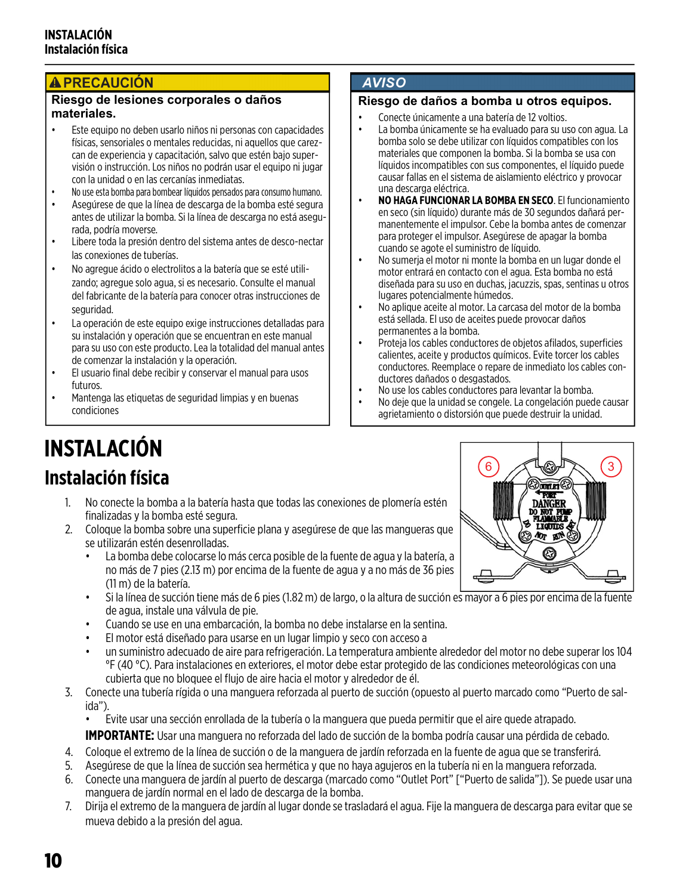#### **A PRECAUCIÓN**

#### **Riesgo de lesiones corporales o daños materiales.**

- Este equipo no deben usarlo niños ni personas con capacidades físicas, sensoriales o mentales reducidas, ni aquellos que carezcan de experiencia y capacitación, salvo que estén bajo supervisión o instrucción. Los niños no podrán usar el equipo ni jugar con la unidad o en las cercanías inmediatas.
- No use esta bomba para bombear líquidos pensados para consumo humano.
- Asegúrese de que la línea de descarga de la bomba esté segura antes de utilizar la bomba. Si la línea de descarga no está asegurada, podría moverse.
- Libere toda la presión dentro del sistema antes de desco-nectar las conexiones de tuberías.
- No agregue ácido o electrolitos a la batería que se esté utilizando; agregue solo agua, si es necesario. Consulte el manual del fabricante de la batería para conocer otras instrucciones de seguridad.
- La operación de este equipo exige instrucciones detalladas para su instalación y operación que se encuentran en este manual para su uso con este producto. Lea la totalidad del manual antes de comenzar la instalación y la operación.
- El usuario final debe recibir y conservar el manual para usos futuros.
- Mantenga las etiquetas de seguridad limpias y en buenas condiciones

#### **AVISO**

#### **Riesgo de daños a bomba u otros equipos.**

- Conecte únicamente a una batería de 12 voltios.
- La bomba únicamente se ha evaluado para su uso con agua. La bomba solo se debe utilizar con líquidos compatibles con los materiales que componen la bomba. Si la bomba se usa con líquidos incompatibles con sus componentes, el líquido puede causar fallas en el sistema de aislamiento eléctrico y provocar una descarga eléctrica.
- **NO HAGA FUNCIONAR LA BOMBA EN SECO**. El funcionamiento en seco (sin líquido) durante más de 30 segundos dañará permanentemente el impulsor. Cebe la bomba antes de comenzar para proteger el impulsor. Asegúrese de apagar la bomba cuando se agote el suministro de líquido.
- No sumerja el motor ni monte la bomba en un lugar donde el motor entrará en contacto con el agua. Esta bomba no está diseñada para su uso en duchas, jacuzzis, spas, sentinas u otros lugares potencialmente húmedos.
- No aplique aceite al motor. La carcasa del motor de la bomba está sellada. El uso de aceites puede provocar daños permanentes a la bomba.
- Proteja los cables conductores de objetos afilados, superficies calientes, aceite y productos químicos. Evite torcer los cables conductores. Reemplace o repare de inmediato los cables conductores dañados o desgastados.
- No use los cables conductores para levantar la bomba.
- No deje que la unidad se congele. La congelación puede causar agrietamiento o distorsión que puede destruir la unidad.

# **INSTALACIÓN Instalación física**

- 1. No conecte la bomba a la batería hasta que todas las conexiones de plomería estén finalizadas y la bomba esté segura.
- 2. Coloque la bomba sobre una superficie plana y asegúrese de que las mangueras que se utilizarán estén desenrolladas.
	- La bomba debe colocarse lo más cerca posible de la fuente de agua y la batería, a no más de 7 pies (2.13 m) por encima de la fuente de agua y a no más de 36 pies (11 m) de la batería.
	- Si la línea de succión tiene más de 6 pies (1.82 m) de largo, o la altura de succión es mayor a 6 pies por encima de la fuente de agua, instale una válvula de pie.
	- Cuando se use en una embarcación, la bomba no debe instalarse en la sentina.
	- El motor está diseñado para usarse en un lugar limpio y seco con acceso a
	- un suministro adecuado de aire para refrigeración. La temperatura ambiente alrededor del motor no debe superar los 104 °F (40 °C). Para instalaciones en exteriores, el motor debe estar protegido de las condiciones meteorológicas con una cubierta que no bloquee el flujo de aire hacia el motor y alrededor de él.
- 3. Conecte una tubería rígida o una manguera reforzada al puerto de succión (opuesto al puerto marcado como "Puerto de salida").

• Evite usar una sección enrollada de la tubería o la manguera que pueda permitir que el aire quede atrapado.

**IMPORTANTE:** Usar una manguera no reforzada del lado de succión de la bomba podría causar una pérdida de cebado.

- 4. Coloque el extremo de la línea de succión o de la manguera de jardín reforzada en la fuente de agua que se transferirá.
- 5. Asegúrese de que la línea de succión sea hermética y que no haya agujeros en la tubería ni en la manguera reforzada.
- 6. Conecte una manguera de jardín al puerto de descarga (marcado como "Outlet Port" ["Puerto de salida"]). Se puede usar una manguera de jardín normal en el lado de descarga de la bomba.
- 7. Dirija el extremo de la manguera de jardín al lugar donde se trasladará el agua. Fije la manguera de descarga para evitar que se mueva debido a la presión del agua.

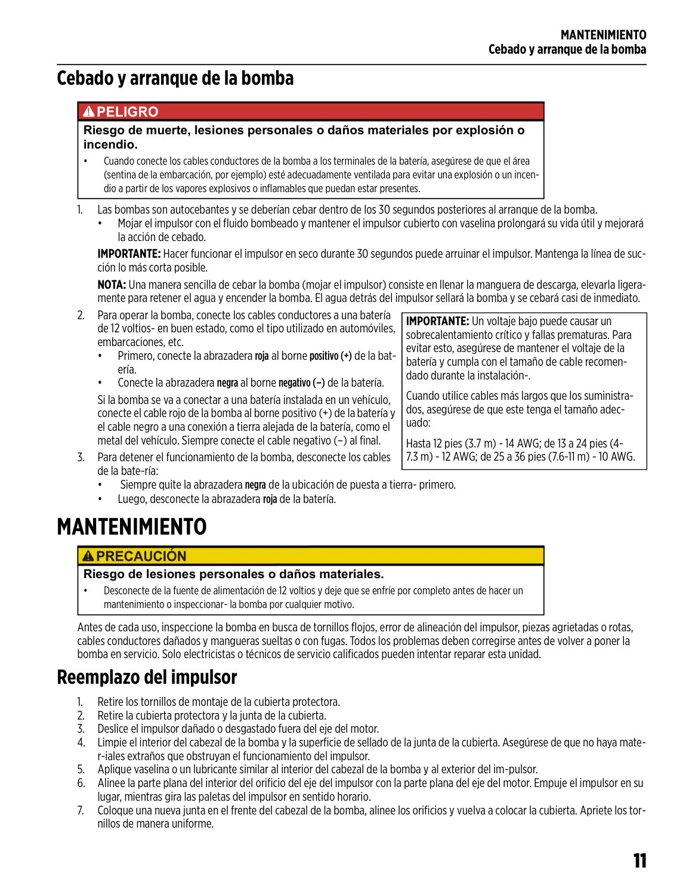# **Cebado y arranque de la bomba**

#### **APELIGRO**

#### **Riesgo de muerte, lesiones personales o daños materiales por explosión o incendio.**

- Cuando conecte los cables conductores de la bomba a los terminales de la batería, asegúrese de que el área (sentina de la embarcación, por ejemplo) esté adecuadamente ventilada para evitar una explosión o un incendio a partir de los vapores explosivos o inflamables que puedan estar presentes.
- 1. Las bombas son autocebantes y se deberían cebar dentro de los 30 segundos posteriores al arranque de la bomba.
	- Mojar el impulsor con el fluido bombeado y mantener el impulsor cubierto con vaselina prolongará su vida útil y mejorará la acción de cebado.

**IMPORTANTE:** Hacer funcionar el impulsor en seco durante 30 segundos puede arruinar el impulsor. Mantenga la línea de succión lo más corta posible.

**NOTA:** Una manera sencilla de cebar la bomba (mojar el impulsor) consiste en llenar la manguera de descarga, elevarla ligeramente para retener el agua y encender la bomba. El agua detrás del impulsor sellará la bomba y se cebará casi de inmediato.

- 2. Para operar la bomba, conecte los cables conductores a una batería de 12 voltios- en buen estado, como el tipo utilizado en automóviles, embarcaciones, etc.
	- Primero, conecte la abrazadera roja al borne positivo (+) de la batería.
	- Conecte la abrazadera negra al borne negativo (–) de la batería.

Si la bomba se va a conectar a una batería instalada en un vehículo, conecte el cable rojo de la bomba al borne positivo (+) de la batería y el cable negro a una conexión a tierra alejada de la batería, como el metal del vehículo. Siempre conecte el cable negativo (–) al final.

**IMPORTANTE:** Un voltaje bajo puede causar un sobrecalentamiento crítico y fallas prematuras. Para evitar esto, asegúrese de mantener el voltaje de la batería y cumpla con el tamaño de cable recomendado durante la instalación-.

Cuando utilice cables más largos que los suministrados, asegúrese de que este tenga el tamaño adecuado:

Hasta 12 pies (3.7 m) - 14 AWG; de 13 a 24 pies (4- 7.3 m) - 12 AWG; de 25 a 36 pies (7.6-11 m) - 10 AWG.

- 3. Para detener el funcionamiento de la bomba, desconecte los cables de la bate-ría:
	- Siempre quite la abrazadera negra de la ubicación de puesta a tierra- primero.
	- Luego, desconecte la abrazadera roja de la batería.

# **MANTENIMIENTO**

#### **A PRECAUCIÓN**

#### **Riesgo de lesiones personales o daños materiales.**

• Desconecte de la fuente de alimentación de 12 voltios y deje que se enfríe por completo antes de hacer un mantenimiento o inspeccionar- la bomba por cualquier motivo.

Antes de cada uso, inspeccione la bomba en busca de tornillos flojos, error de alineación del impulsor, piezas agrietadas o rotas, cables conductores dañados y mangueras sueltas o con fugas. Todos los problemas deben corregirse antes de volver a poner la bomba en servicio. Solo electricistas o técnicos de servicio calificados pueden intentar reparar esta unidad.

# **Reemplazo del impulsor**

- 1. Retire los tornillos de montaje de la cubierta protectora.
- 2. Retire la cubierta protectora y la junta de la cubierta.
- 3. Deslice el impulsor dañado o desgastado fuera del eje del motor.
- 4. Limpie el interior del cabezal de la bomba y la superficie de sellado de la junta de la cubierta. Asegúrese de que no haya mater-iales extraños que obstruyan el funcionamiento del impulsor.
- 5. Aplique vaselina o un lubricante similar al interior del cabezal de la bomba y al exterior del im-pulsor.
- 6. Alinee la parte plana del interior del orificio del eje del impulsor con la parte plana del eje del motor. Empuje el impulsor en su lugar, mientras gira las paletas del impulsor en sentido horario.
- 7. Coloque una nueva junta en el frente del cabezal de la bomba, alinee los orificios y vuelva a colocar la cubierta. Apriete los tornillos de manera uniforme.